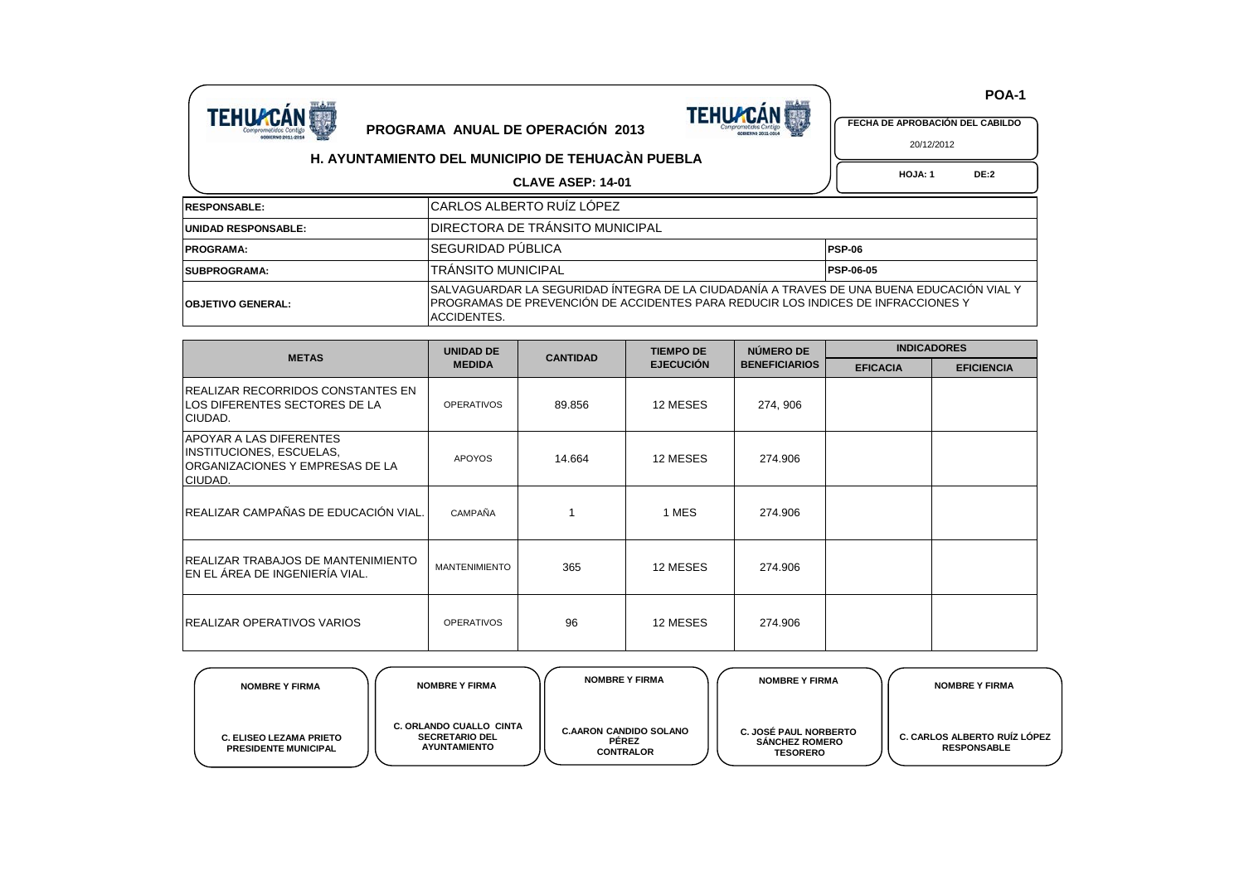



 **POA-1**

 **HOJA: 1 DE:2** 20/12/2012

## **H. AYUNTAMIENTO DEL MUNICIPIO DE TEHUACÀN PUEBLA**

## **CLAVE ASEP: 14-01**

| <b>RESPONSABLE:</b>      | ICARLOS ALBERTO RUIZ LOPEZ                                                                                                                                                                     |                  |  |  |
|--------------------------|------------------------------------------------------------------------------------------------------------------------------------------------------------------------------------------------|------------------|--|--|
| UNIDAD RESPONSABLE:      | IDIRECTORA DE TRANSITO MUNICIPAL                                                                                                                                                               |                  |  |  |
| <b>PROGRAMA:</b>         | İSEGURIDAD PÜBLICA                                                                                                                                                                             | <b>PSP-06</b>    |  |  |
| <b>SUBPROGRAMA:</b>      | ITRANSITO MUNICIPAL                                                                                                                                                                            | <b>PSP-06-05</b> |  |  |
| <b>OBJETIVO GENERAL:</b> | ISALVAGUARDAR LA SEGURIDAD INTEGRA DE LA CIUDADANÍA A TRAVES DE UNA BUENA EDUCACIÓN VIAL Y<br>IPROGRAMAS DE PREVENCIÓN DE ACCIDENTES PARA REDUCIR LOS INDICES DE INFRACCIONES Y<br>ACCIDENTES. |                  |  |  |

| <b>METAS</b>                                                                                             | <b>UNIDAD DE</b>     | <b>CANTIDAD</b> | <b>TIEMPO DE</b> | NÚMERO DE            | <b>INDICADORES</b> |                   |  |
|----------------------------------------------------------------------------------------------------------|----------------------|-----------------|------------------|----------------------|--------------------|-------------------|--|
|                                                                                                          | <b>MEDIDA</b>        |                 | <b>EJECUCIÓN</b> | <b>BENEFICIARIOS</b> | <b>EFICACIA</b>    | <b>EFICIENCIA</b> |  |
| <b>IREALIZAR RECORRIDOS CONSTANTES EN</b><br>LOS DIFERENTES SECTORES DE LA<br>CIUDAD.                    | <b>OPERATIVOS</b>    | 89.856          | 12 MESES         | 274, 906             |                    |                   |  |
| <b>APOYAR A LAS DIFERENTES</b><br>INSTITUCIONES, ESCUELAS,<br>ORGANIZACIONES Y EMPRESAS DE LA<br>CIUDAD. | <b>APOYOS</b>        | 14.664          | 12 MESES         | 274.906              |                    |                   |  |
| REALIZAR CAMPAÑAS DE EDUCACIÓN VIAL.                                                                     | CAMPAÑA              |                 | 1 MES            | 274.906              |                    |                   |  |
| <b>IREALIZAR TRABAJOS DE MANTENIMIENTO</b><br><b>IEN EL ÁREA DE INGENIERIA VIAL.</b>                     | <b>MANTENIMIENTO</b> | 365             | 12 MESES         | 274.906              |                    |                   |  |
| <b>IREALIZAR OPERATIVOS VARIOS</b>                                                                       | <b>OPERATIVOS</b>    | 96              | 12 MESES         | 274.906              |                    |                   |  |

| <b>NOMBRE Y FIRMA</b>                                         | <b>NOMBRE Y FIRMA</b>                                                          | <b>NOMBRE Y FIRMA</b>                                             | <b>NOMBRE Y FIRMA</b>                                                    | <b>NOMBRE Y FIRMA</b>                                     |
|---------------------------------------------------------------|--------------------------------------------------------------------------------|-------------------------------------------------------------------|--------------------------------------------------------------------------|-----------------------------------------------------------|
| <b>C. ELISEO LEZAMA PRIETO</b><br><b>PRESIDENTE MUNICIPAL</b> | <b>C. ORLANDO CUALLO CINTA</b><br><b>SECRETARIO DEL</b><br><b>AYUNTAMIENTO</b> | <b>C.AARON CANDIDO SOLANO</b><br><b>PEREZ</b><br><b>CONTRALOR</b> | <b>C. JOSÉ PAUL NORBERTO</b><br><b>SANCHEZ ROMERO</b><br><b>TESORERO</b> | <b>C. CARLOS ALBERTO RUIZ LOPEZ</b><br><b>RESPONSABLE</b> |